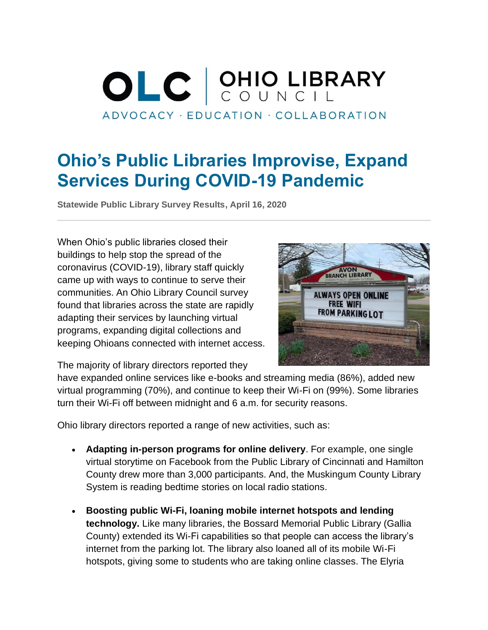# OLC CHIOLIBRARY ADVOCACY · EDUCATION · COLLABORATION

## **Ohio's Public Libraries Improvise, Expand Services During COVID-19 Pandemic**

**Statewide Public Library Survey Results, April 16, 2020**

When Ohio's public libraries closed their buildings to help stop the spread of the coronavirus (COVID-19), library staff quickly came up with ways to continue to serve their communities. An Ohio Library Council survey found that libraries across the state are rapidly adapting their services by launching virtual programs, expanding digital collections and keeping Ohioans connected with internet access.



The majority of library directors reported they

have expanded online services like e-books and streaming media (86%), added new virtual programming (70%), and continue to keep their Wi-Fi on (99%). Some libraries turn their Wi-Fi off between midnight and 6 a.m. for security reasons.

Ohio library directors reported a range of new activities, such as:

- **Adapting in-person programs for online delivery**. For example, one single virtual storytime on Facebook from the Public Library of Cincinnati and Hamilton County drew more than 3,000 participants. And, the Muskingum County Library System is reading bedtime stories on local radio stations.
- **Boosting public Wi-Fi, loaning mobile internet hotspots and lending technology.** Like many libraries, the Bossard Memorial Public Library (Gallia County) extended its Wi-Fi capabilities so that people can access the library's internet from the parking lot. The library also loaned all of its mobile Wi-Fi hotspots, giving some to students who are taking online classes. The Elyria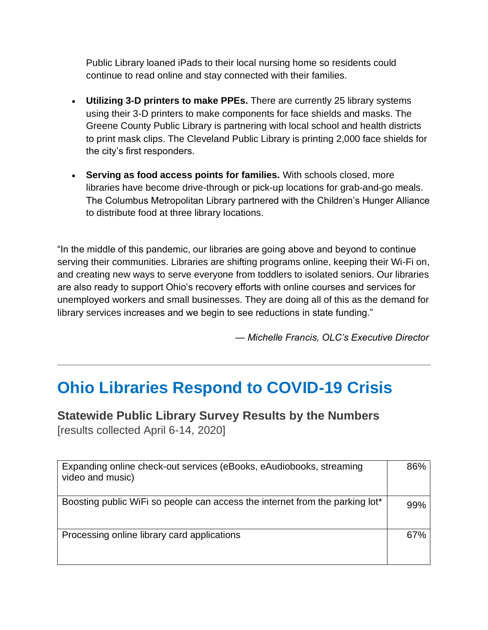Public Library loaned iPads to their local nursing home so residents could continue to read online and stay connected with their families.

- **Utilizing 3-D printers to make PPEs.** There are currently 25 library systems using their 3-D printers to make components for face shields and masks. The Greene County Public Library is partnering with local school and health districts to print mask clips. The Cleveland Public Library is printing 2,000 face shields for the city's first responders.
- **Serving as food access points for families.** With schools closed, more libraries have become drive-through or pick-up locations for grab-and-go meals. The Columbus Metropolitan Library partnered with the Children's Hunger Alliance to distribute food at three library locations.

"In the middle of this pandemic, our libraries are going above and beyond to continue serving their communities. Libraries are shifting programs online, keeping their Wi-Fi on, and creating new ways to serve everyone from toddlers to isolated seniors. Our libraries are also ready to support Ohio's recovery efforts with online courses and services for unemployed workers and small businesses. They are doing all of this as the demand for library services increases and we begin to see reductions in state funding."

 *— Michelle Francis, OLC's Executive Director*

### **Ohio Libraries Respond to COVID-19 Crisis**

### **Statewide Public Library Survey Results by the Numbers** [results collected April 6-14, 2020]

| Expanding online check-out services (eBooks, eAudiobooks, streaming<br>video and music) | 86% |
|-----------------------------------------------------------------------------------------|-----|
| Boosting public WiFi so people can access the internet from the parking lot*            | 99% |
| Processing online library card applications                                             | 67% |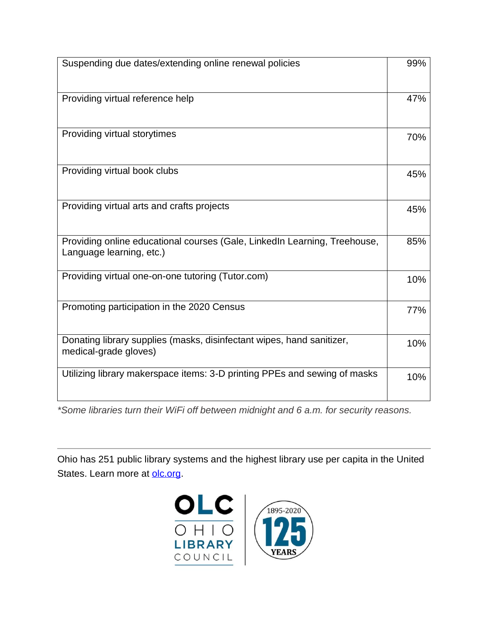| Suspending due dates/extending online renewal policies                                                | 99% |
|-------------------------------------------------------------------------------------------------------|-----|
| Providing virtual reference help                                                                      | 47% |
| Providing virtual storytimes                                                                          | 70% |
| Providing virtual book clubs                                                                          | 45% |
| Providing virtual arts and crafts projects                                                            | 45% |
| Providing online educational courses (Gale, LinkedIn Learning, Treehouse,<br>Language learning, etc.) | 85% |
| Providing virtual one-on-one tutoring (Tutor.com)                                                     | 10% |
| Promoting participation in the 2020 Census                                                            | 77% |
| Donating library supplies (masks, disinfectant wipes, hand sanitizer,<br>medical-grade gloves)        | 10% |
| Utilizing library makerspace items: 3-D printing PPEs and sewing of masks                             | 10% |

*\*Some libraries turn their WiFi off between midnight and 6 a.m. for security reasons.*

Ohio has 251 public library systems and the highest library use per capita in the United States. Learn more at [olc.org.](http://olc.org/)